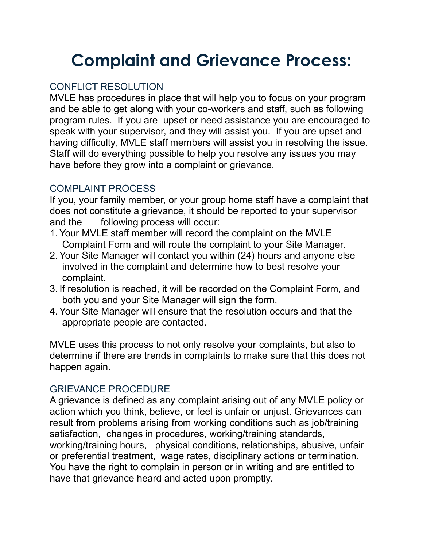# **Complaint and Grievance Process:**

### CONFLICT RESOLUTION

MVLE has procedures in place that will help you to focus on your program and be able to get along with your co-workers and staff, such as following program rules. If you are upset or need assistance you are encouraged to speak with your supervisor, and they will assist you. If you are upset and having difficulty, MVLE staff members will assist you in resolving the issue. Staff will do everything possible to help you resolve any issues you may have before they grow into a complaint or grievance.

#### COMPLAINT PROCESS

If you, your family member, or your group home staff have a complaint that does not constitute a grievance, it should be reported to your supervisor and the following process will occur:

- 1. Your MVLE staff member will record the complaint on the MVLE Complaint Form and will route the complaint to your Site Manager.
- 2. Your Site Manager will contact you within (24) hours and anyone else involved in the complaint and determine how to best resolve your complaint.
- 3. If resolution is reached, it will be recorded on the Complaint Form, and both you and your Site Manager will sign the form.
- 4. Your Site Manager will ensure that the resolution occurs and that the appropriate people are contacted.

MVLE uses this process to not only resolve your complaints, but also to determine if there are trends in complaints to make sure that this does not happen again.

#### GRIEVANCE PROCEDURE

A grievance is defined as any complaint arising out of any MVLE policy or action which you think, believe, or feel is unfair or unjust. Grievances can result from problems arising from working conditions such as job/training satisfaction, changes in procedures, working/training standards, working/training hours, physical conditions, relationships, abusive, unfair or preferential treatment, wage rates, disciplinary actions or termination. You have the right to complain in person or in writing and are entitled to have that grievance heard and acted upon promptly.